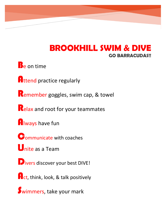# **BROOKHILL SWIM & DIVE GO BARRACUDAS!!**

**B**e on time

**Attend practice regularly** 

Remember goggles, swim cap, & towel

Relax and root for your teammates

**Always have fun** 

**Communicate with coaches** 

**U**nite as a Team

Divers discover your best DIVE!

**Act, think, look, & talk positively** 

Swimmers, take your mark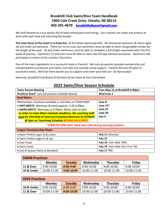## **Brookhill Club Swim/Dive Team Handbook 1900 Cole Creek Drive, Omaha, NE 68114 402-391-4679 [brookhillsdteam@gmail.com](mailto:brookhillsdteam@gmail.com)**

We look forward to a fun season full of team enthusiasm and energy. Our coaches are ready and anxious to work with each new and returning Barracuda!

**The main focus of the team is to** *have fun*, all the while improving skills. All interested swimmers & divers aged 18 and under are welcome. There are no try-outs, but swimmers *must be able to swim recognizable strokes for the length of the pool*. 10 and Under swimmers must be able to complete a full length unassisted after the first week of practice. Swimmers 11 and over must be able to swim two full laps without assistance. Swimmers will participate in meets at the coaches' discretion.

One of the main ingredients to a successful team is Parents! Not only do parents provide membership and transportation to practices and meets, but they also provide moral support. Parents also are the glue to successful meets. We'll be there beside you to support and cheer your kids on! Go Barracudas!

Sincerely, Brookhill Club Board of Directors & the Swim & Dive Committee

| 2022 Swim/Dive Season Schedule                                   |                                   |  |  |  |
|------------------------------------------------------------------|-----------------------------------|--|--|--|
| <b>Team Parent Meeting</b>                                       | Tues May 31 at Brookhill 6:30pm   |  |  |  |
| Practices Start! (see full practice schedule below)              | Wed June 1                        |  |  |  |
| <b>Dual Meets:</b>                                               |                                   |  |  |  |
| Wednesdays, locations available in mid-May on TEAM SNAP          | June 8                            |  |  |  |
| • DIVE MEETS: Warmups & meets approx. 2:30-4:30pm                | June $15*$                        |  |  |  |
| • SWIM MEETS: Warmups at 4:45pm; Meets start at 6pm              | June 22                           |  |  |  |
| In order to make Meet schedule deadlines, the coaching staff     | June 29                           |  |  |  |
| must be informed of meet participation/absences by SUNDAY        | July 6                            |  |  |  |
| @ 5pm on TeamSnap Schedule BEFORE EACH MEET                      |                                   |  |  |  |
| <i>*TEAM PICTURE DAY! Wed June 15th during morning practice!</i> |                                   |  |  |  |
| <b>League Championship Week:</b>                                 |                                   |  |  |  |
| • Swim Prelims (ages 10 & under)                                 | July 11 (Monday)                  |  |  |  |
| • Swim Prelims (ages11 & up)                                     | July 12                           |  |  |  |
| • Dive Finals                                                    | July 13 (rain date TBA)           |  |  |  |
| • Swim Finals                                                    | July 14 (rain date July 15 or 16) |  |  |  |
| • End of Season Party at Brookhill                               | July 17 TBD                       |  |  |  |

| <b>SWIM Practices</b> |               |                |              |                 |             |
|-----------------------|---------------|----------------|--------------|-----------------|-------------|
|                       | <b>Monday</b> | <b>Tuesday</b> | Wednesday    | <b>Thursday</b> | Friday      |
| 11 & Over             | $9:00-10:00$  | $8:00 - 9:00$  | $9:00-10:00$ | $9:00-10:00$    | 9:00-10:00  |
| 10 & Under            | 10:00-11:00   | 9:00-10:00     | 10:00-11:00  | 10:00-11:00     | 10:00-11:00 |

| <b>DIVE Practices</b> |              |                |              |                 |              |
|-----------------------|--------------|----------------|--------------|-----------------|--------------|
|                       | Monday       | <b>Tuesday</b> | Wednesday    | <b>Thursday</b> | Friday       |
| 10 & Under            | $9:00-10:00$ | 8:00-9:00      | $9:00-10:00$ | $9:00-10:00$    | $9:00-10:00$ |
| <b>11 &amp; Over</b>  | 10:00-11:00  | $9:00 - 10:00$ | 10:00-11:00  | 10:00-11:00     | 10:00-11:00  |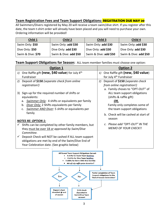## **Team Registration Fees and Team Support Obligations: REGISTRATION DUE MAY 20**

All Swimmers/Divers registered by May 20 will receive a team swim/dive shirt. If you register after this date, the team t-shirt order will already have been placed and you will need to purchase your own. Ordering information will be provided!

| Child 1           | Child 2               | Child 3               | Child 4               |
|-------------------|-----------------------|-----------------------|-----------------------|
| Swim Only: \$50   | Swim Only: add \$30   | Swim Only: add \$30   | Swim Only: add \$30   |
| Dive Only: \$50   | Dive Only: add \$30   | Dive Only: add \$30   | Dive Only: add \$30   |
| Swim & Dive: \$70 | Swim & Dive: add \$50 | Swim & Dive: add \$50 | Swim & Dive: add \$50 |

## **Team Support Obligations for Season:** ALL team member families must choose one option:

| <b>Option 1</b>                                                      | <b>Option 2</b>                         |
|----------------------------------------------------------------------|-----------------------------------------|
| 1) One Raffle gift (new, \$40 value) for July $4th$                  | One Raffle gift (new, \$40 value)<br>1) |
| <b>Fundraiser</b>                                                    | for July 4 <sup>th</sup> Fundraiser     |
| Deposit of \$150 (separate check from online<br>2)                   | Deposit of \$150 (separate check<br>2)  |
| registration!)                                                       | from online registration!)              |
|                                                                      | a. Family choses to "OPT-OUT" of        |
| Sign-up for the required number of shifts or<br>3)                   | ALL team support obligations            |
| equivalents:                                                         | (shifts & raffle gift)                  |
| Swimmer Only: 4 shifts or equivalents per family<br>a.               | OR,                                     |
| Diver Only: 2 Shifts equivalents per family<br>b.                    | Family only completes some of           |
| Swimmer AND Diver: 5 shifts or equivalents per<br>$C_{\star}$        | the team support obligations            |
| family                                                               | b. Check will be cashed at start of     |
|                                                                      | season                                  |
| <b>NOTES RE: OPTION 1:</b>                                           |                                         |
| Shifts can be completed by other family members, but                 | c. Please add "OPT-OUT" IN THE          |
| they must be over 18 or approved by Swim/Dive                        | <b>MEMO OF YOUR CHECK!!</b>             |
| Committee.                                                           |                                         |
| Deposit Check will NOT be cashed if ALL team support<br>$\checkmark$ |                                         |
| obligations are met by end of the Swim/Dive End of                   |                                         |
| Year Celebration date. (See graphic below)                           |                                         |

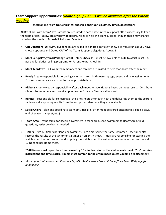## **Team Support Opportunities:** *Online Signup Genius will be available after the Parent meeting*

#### **(check online "Sign-Up Genius" for specific opportunities, dates/ times, descriptions)**

All Brookhill Swim Team/Dive Parents are required to participate in team support efforts necessary to keep the team afloat! Below are a variety of opportunities to help the team succeed, though these may change based on the needs of Brookhill Swim and Dive team.

- **Gift Donations--***all* swim/dive families are asked to donate a raffle gift (new-\$25 value) unless you have chosen option 2 and Opted-OUT of the Team Support obligations. (see pg 3)
- **Meet Setup/Programs/Parking/Parent Helper Check-In—**must be available at **4:30** to assist in set up, parking lot duties, selling programs, or Parent Helper Check-In
- **Meet Teardown**  all swim team members and families are invited to help tear down after the meet.
- **Ready Area** responsible for ordering swimmers from both teams by age, event and lane assignments. Ensure swimmers are escorted to the appropriate lane.
- **Ribbons Chair** weekly responsibility after each meet to label ribbons based on meet results. Distribute ribbons to swimmers each week at practice on Friday or Monday after meet.
- **Runner** responsible for collecting all the lane sheets after each heat and delivering them to the scorer's table as well as posting results from the computer table once they are available.
- **Social Chairs**  plan and coordinate team activities (i.e., after meet delivered pizza parties, cookie days, end of season banquet, etc.)
- **Team Area**  responsible for keeping swimmers in team area, send swimmers to Ready Area, field questions, assist coaches as needed.
- **Timers** two (2) timers per lane per swimmer. Both timers time the same swimmer. One timer also records the results of the swimmer's 2 times on an entry sheet. Timers are responsible for starting the watch when the horn sounds and stopping the watch when the swimmer in your lane touches the wall. 12 Needed per Home meet.

#### **\*\*All timers must report to a timers meeting 15 minutes prior to the start of each meet. You'll receive instructions and time clocks. Timers must commit to the entire meet unless you find a replacement.**

• *More opportunities and details on our Sign-Up Genius!—see Brookhill Swim/Dive Team Webpage for annual link*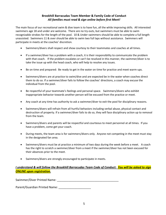#### **Brookhill Barracudas Team Member & Family Code of Conduct** *All families must read & sign online before first Meet!*

The main focus of our recreational swim & dive team is to have fun, all the while improving skills. All interested swimmers age 18 and under are welcome. There are no try-outs, but swimmers must be able to swim recognizable strokes for the length of the pool. 10 & Under swimmers should be able to complete a full length unassisted. Swimmers 11 & over should be able to swim two full laps without assistance. Swimmers will participate in meets at the coaches' discretion*.* 

- Swimmers/divers shall respect and show courtesy to their teammates and coaches at all times.
- If a swimmer/diver has a problem with a coach, it is their responsibility to communicate the problem with that coach. If the problem escalates or can't be resolved in this manner, the swimmer/diver is to take the issue up with the head coach, who will help to resolve any issues.
- Be on time and prepared: Be ready to get in the water on time for practice and meet warm-ups.
- Swimmers/divers are at practice to swim/dive and are expected be in the water when coaches direct them to do so. If a swimmer/diver fails to follow the coaches' directions, a coach may excuse the individual from the pool.
- Be respectful of your teammate's feelings and personal space. Swimmers/divers who exhibit inappropriate behavior towards another person will be excused from the practice or meet.
- Any coach at any time has authority to ask a swimmer/diver to exit the pool for disciplinary reasons.
- Swimmers/divers will refrain from all hurtful behaviors including verbal abuse, physical contact and destruction of property. If a swimmer/diver fails to do so, they will face disciplinary action up to removal from the team.
- Swimmers/divers and parents will be respectful and courteous to meet personnel at all times. If you have a problem, come get your coach.
- During meets, the team area is for swimmers/divers only. Anyone not competing in the meet must stay in the designated fan area.
- Swimmers/divers must be at practice a minimum of two days during the week before a meet. A coach has the right to scratch a swimmer/diver from a meet if the swimmer/diver has not been excused for their absences prior to the meet.
- Swimmers/divers are strongly encouraged to participate in meets.

## *I understand & will follow the Brookhill Barracudas Team Code of Conduct: You will be asked to sign ONLINE upon registration.*

Swimmer/Diver Printed Name: <u>manuscription</u> and the system of the system of the system of the system of the system of the system of the system of the system of the system of the system of the system of the system of the sy

Parent/Guardian Printed Name: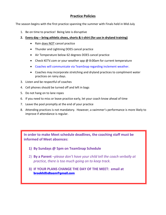## **Practice Policies**

The season begins with the first practice spanning the summer with Finals held in Mid-July

- 1. Be on time to practice! Being late is disruptive
- **2. Every day – bring athletic shoes, shorts & t-shirt (for use in dryland training)**
	- Rain does NOT cancel practice
	- Thunder and Lightning DOES cancel practice
	- Air Temperature below 62 degrees DOES cancel practice
	- Check KETV.com or your weather app @ 8:00am for current temperature
	- Coaches will communicate via TeamSnap regarding inclement weather.
	- Coaches may incorporate stretching and dryland practices to compliment water practices on rainy days.
- 3. Listen and be respectful of coaches
- 4. Cell phones should be turned off and left in bags
- 5. Do not hang on to lane ropes
- 6. If you need to miss or leave practice early, let your coach know ahead of time
- 7. Leave the pool promptly at the end of your practice
- 8. Attending practices is not mandatory. However, a swimmer's performance is more likely to improve if attendance is regular.

**In order to make Meet schedule deadlines, the coaching staff must be informed of Meet absences:**

- **1) By Sundays @ 5pm on TeamSnap Schedule**
- 2) **By a Parent** *–please don't have your child tell the coach verbally at practice, there is too much going on to keep track.*
- **3) IF YOUR PLANS CHANGE THE DAY OF THE MEET: email at [brookhillsdteam@gmail.com](mailto:brookhillsdteam@gmail.com)**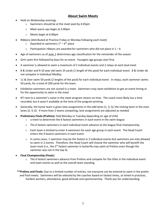## **About Swim Meets**

- Held on Wednesday evenings
	- o Swimmers should be at the meet pool by 4:45pm
	- o Meet warm-ups begin at 5:00pm
	- o Meets begin at 6:00pm
- Ribbons (distributed at Practice Friday or Monday following each meet)
	- $\circ$  Awarded to swimmers  $1^{st} 6^{th}$  place
	- $\circ$  Participation ribbons are awarded for swimmers who did not place in  $1 6$
- Age of swimmers as of *June 1* determines age classification for the remainder of the season
- Girls swim first followed by boys for an event. Youngest age groups start first.
- A swimmer is allowed to swim a maximum of 2 individual events and 2 relays at each dual meet
- 8 & Under and 9-10 year old swim 25 yards (1 length of the pool) for each individual event. 8 & Under do not compete in Individual Medley.
- 11 & Over swim 50 yards (2 lengths of the pool) for each individual event. In relays, each swimmer swims 50 yards, for a total of 200 yards for the team.
- Exhibition swimmers are not scored in a meet. Swimmers may swim exhibition to get an event timing or for the opportunity to swim in the meet.
- NT next to a swimmer's name in the meet program means no time. The coach most likely has a time recorded, but it wasn't available at the time of the program printing.
- Generally, the home team is given lane assignments in the odd lanes (1, 3, 5); the visiting team in the even lanes (2, 4, 6). If more than 2 teams competing, lane assignments are adjusted as needed.
- **Preliminary Finals (Prelims):** held Monday or Tuesday depending on age of child
	- o a meet to determine the 6 fastest swimmers in each event in the swim league.
	- $\circ$  The 6 fastest swimmers in each individual event advance to the league final championship.
	- $\circ$  Each team is limited to enter 4 swimmers for each age group in each event. The Head Coach enters the 4 fastest swimmers in each event.
	- $\circ$  In some cases, 1 swimmer may be the fastest in 3 individual events but swimmers are only allowed to swim in 2 events. Therefore, the Head Coach will choose the swimmer who will benefit the team most (i.e., the 5<sup>th</sup> fastest swimmer in butterfly may swim at Prelims even though the swimmer was not in the top 4).
- **Final Championship (Finals**):
	- $\circ$  The 6 fastest swimmers advance from Prelims and compete for the titles in the individual event and team events as well as the overall team standing.
- **\*\*Prelims and Finals:** Due to a limited number of entries, not everyone can be entered to swim in the prelim and final meets. Swimmers will be selected by the coaches based on fastest times, as timed in practices, hardest workers, attendance, good attitude and sportsmanship. Thank you for understanding.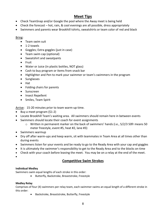## **Meet Tips**

- Check TeamSnap and/or Google the pool where the Away meet is being held
- Check the forecast hot, rain, & cool evenings are all possible, dress appropriately
- Swimmers and parents wear Brookhill tshirts, sweatshirts or team color of red and black

#### Bring:

- Team swim suit
- 1-2 towels
- Goggles; Extra goggles (just in case)
- Team swim cap (optional)
- Sweatshirt and sweatpants
- Fruit
- Water or Juice (in plastic bottles, NOT glass)
- Cash to buy program or items from snack bar
- Highlighter and Pen to mark your swimmer or team's swimmers in the program
- Sunglasses
- Hat
- Folding chairs for parents
- Sunscreen
- Insect Repellent
- Smiles, Team Spirit

Arrive: 15-20 minutes prior to team warm-up time.

- Buy a meet program (\$1-2)
- Locate Brookhill Team's waiting area. All swimmers should remain here in between events
- Swimmers should locate their coach for event assignments
	- $\circ$  Written in permanent marker on the back of swimmers' hands (i.e., 5/2/3 50fr means 50 meter freestyle, event #5, heat #2, lane #3)
- Swimmers warmup
- Dry off after warm-ups and keep warm, sit with teammates in Team Area at all times other than during events
- Swimmers listen for your events and be ready to go to the Ready Area with your cap and goggles
- It is ultimately the swimmer's responsibility to get to the Ready Area and to the blocks on time
- Check with your coach before leaving the meet. You may be on a relay at the end of the meet.
- •

## **Competitive Swim Strokes**

#### **Individual Medley**

Swimmers swim equal lengths of each stroke in this order:

• Butterfly, Backstroke, Breaststroke, Freestyle

#### **Medley Relay**

Comprises of four (4) swimmers per relay team, each swimmer swims an equal length of a different stroke in this order:

• Backstroke, Breaststroke, Butterfly, Freestyle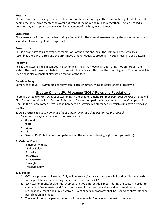#### **Butterfly**

This is a prone stroke using symmetrical motions of the arms and legs. The arms are brought out of the water behind the body, arms reenter the water out front of the body and pull back together. The kick, called a dolphin kick, is an up and down wave-like movement of the hips, legs and feet.

#### **Backstroke**

This stroke is performed on the back using a flutter kick. The arms alternate entering the water behind the shoulder, elbow straight, little finger first.

#### **Breaststroke**

This is a prone stroke using symmetrical motions of the arms and legs. The kick, called the whip kick, resembles the kick of a frog and the arms move simultaneously to create an inverted heart-shaped pattern.

#### **Freestyle**

This is the fastest stroke in competitive swimming. The arms move in an alternating motion through the water. The head turns for inhalation in time with the backward thrust of the breathing arm. The flutter kick is used and is also a constant alternating motion of the feet.

#### **Freestyle Relay**

Comprises of four (4) swimmers per relay team, each swimmer swims an equal length of freestyle.

## **Greater Omaha SWIM League (GOSL) Rules and Regulations**

There are three divisions (A, B, C) of swimming in the Greater Omaha Summer Swim League (GOSL). Brookhill Club Barracudas will swim in Division B this year. Division competition is determined by the Championship Finals in the prior Summer. Dive League Competition is typically determined by which clubs have divers/dive teams.

## **1. Age Groups (***Age of swimmer as of June 1 determines age classification for the season)*

Swimmers always compete with their own gender

- 8 & under
- 9-10
- 11-12
- 13-14
- Senior (15-19, but cannot compete beyond the summer following high school graduation)

#### **2. Order of Events**

Individual Medley Medley Relay Butterfly Backstroke Breaststroke Freestyle Freestyle Relay

#### **3. Eligibility**

- A. GOSL is a private pool league. Only swimmers and/or divers that have a full paid family membership to the pool they are competing for can participate in the GOSL.
- B. Each swimmer and/or diver must compete in two different dual meets during the season in order to compete in Preliminaries and Finals. In the event of a meet cancellation due to weather or other reasons the 2-meet rule may be waived. Event sheets or programs shall be used to confirm intended participation in a meet.
- C. The age of the participant on June  $1<sup>st</sup>$  will determine his/her age for the rest of the season.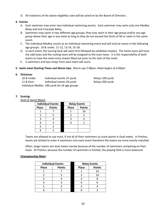D. All violations of the above eligibility rules will be acted on by the Board of Directors.

#### **4. Entries**

- A. Each swimmer may enter two individual swimming events. Each swimmer may swim only one Medley Relay and one Freestyle Relay.
- B. Swimmers may swim in two different age groups; they may swim in their age group and/or any age group above their age in any meet as long as they do not exceed the limits of 4A or swim in the same event.
- C. The Individual Medley counts as an individual swimming event and will only be swum in the following age groups: 10 & under, 11-12, 13-14, 15-18.
- D. In each event, the scoring heat will swim first followed by exhibition heat(s). The home team will have the odd lanes and the visiting team will be assigned to the even lanes. It is the responsibility of both teams to have the meet entry sheets filled out prior to the start of the meet.
- E. 3 swimmers and two relays from each team will score.

#### **5. Swim meet Starting Times and Warm-Ups:** Warm-ups 5:00pm; Meet begins at 6:00pm

#### **6. Distances**

| 10 & Under | Individual events 25 yards                     | Relays 100 yards |
|------------|------------------------------------------------|------------------|
| 11 & Over  | Individual events 50 yards                     | Relays 200 yards |
|            | Individual Medley 100 yards for all age groups |                  |

#### **7. Scoring:**

Dual (2 team) Meets:

|              | <b>Individual Events</b> | <b>Relay Events</b> |               |
|--------------|--------------------------|---------------------|---------------|
| <b>Place</b> | <b>Points</b>            | <b>Place</b>        | <b>Points</b> |
|              |                          |                     | 10            |
|              |                          |                     |               |
|              |                          |                     |               |
|              | 3                        |                     |               |
|              |                          |                     |               |
|              |                          |                     |               |

Teams are allowed to use most, if not all of their swimmers to score points in Dual meets. In Prelims, teams are limited to enter 4 swimmers into each event therefore the teams are more evenly matched.

Often, larger teams win dual meets merely because of the number of swimmers competing on their team. At Prelims, because the number of swimmers is limited, the playing field is more balanced.

#### **Championship Meet:**

|              | <b>Individual Events</b> |              | <b>Relay Events</b> |
|--------------|--------------------------|--------------|---------------------|
| <b>Place</b> | <b>Points</b>            | <b>Place</b> | <b>Points</b>       |
|              |                          |              | 14                  |
|              |                          |              | 10                  |
|              |                          |              |                     |
|              |                          |              |                     |
|              |                          |              |                     |
|              |                          |              |                     |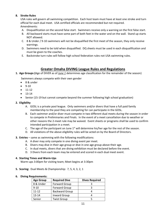#### **8. Stroke Rules**

USA rules will govern all swimming competition. Each host team must have at least one stroke and turn official for each dual meet. USA certified officials are recommended but not required. Amendments:

- A. Disqualification on the second false start. Swimmers receive only a warning on the first false start.
- B. All backward starts must have some part of both feet in the water and on the wall. Stand up starts NOT allowed.
- C. 8 & Under / 9-10 swimmers will not be disqualified the first meet of the season, they only receive warnings.
- D. Swimmers need to be told when disqualified. DQ sheets must be used in each disqualification and must be given to the coaches.
- E. Backstroke turn rules will follow high school federation rules not USA swimming rules.

## **Greater Omaha DIVING League Rules and Regulations**

**1. Age Groups (**Age of DIVER as of *June 1* determines age classification for the remainder of the season)

Swimmers always compete with their own gender

- 8 & under
- $9-10$
- $11-12$
- 13-14
- Senior (15-19 but cannot compete beyond the summer following high school graduation)

#### **2. Eligibility**

- A. GOSL is a private pool league. Only swimmers and/or divers that have a full paid family membership to the pool they are competing for can participate in the GOSL.
- B. Each swimmer and/or diver must compete in two different dual meets during the season in order to compete in Preliminaries and Finals. In the event of a meet cancellation due to weather or other reasons the 2-meet rule may be waived. Event sheets or programs shall be used to confirm intended participation in a meet.
- C. The age of the participant on June  $1<sup>st</sup>$  will determine his/her age for the rest of the season.
- D. All violations of the above eligibility rules will be acted on by the Board of Directors.
- **3. Entries**  same as swimming with the following modifications:
	- A. A diver may only compete in one diving event per meet.
	- B. Divers may dive in their age group or dive in one age group above their age.
	- C. In dual meets, divers that are diving exhibition must be declared before the event.
	- D. 3 Divers from each team may be entered and scored in each dual meet event.

#### **4. Starting Times and Warm-Ups**

Warm-ups 3:00pm for visiting team; Meet begins at 3:30pm

**5. Scoring:** Dual Meets & Championship: 7, 5, 4, 3, 2, 1

#### **6. Diving Requirements:**

| <b>Age Group</b> | <b>Required Dive</b>  | <b>Dives Required</b> |
|------------------|-----------------------|-----------------------|
| 8 & Under        | <b>Forward Group</b>  |                       |
| $9 - 10$         | <b>Forward Group</b>  |                       |
| $11 - 12$        | <b>Backward Group</b> |                       |
| 13-14            | <b>Inward Group</b>   |                       |
| Senior           | <b>Twist Group</b>    |                       |